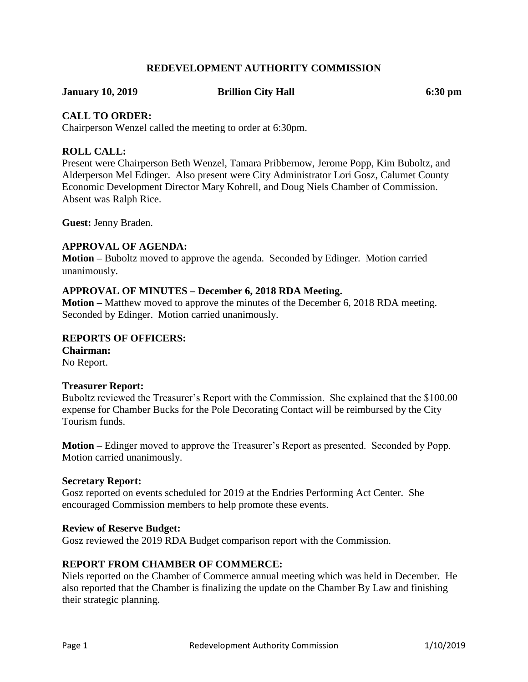## **REDEVELOPMENT AUTHORITY COMMISSION**

**January 10, 2019 Brillion City Hall 6:30 pm**

## **CALL TO ORDER:**

Chairperson Wenzel called the meeting to order at 6:30pm.

## **ROLL CALL:**

Present were Chairperson Beth Wenzel, Tamara Pribbernow, Jerome Popp, Kim Buboltz, and Alderperson Mel Edinger. Also present were City Administrator Lori Gosz, Calumet County Economic Development Director Mary Kohrell, and Doug Niels Chamber of Commission. Absent was Ralph Rice.

**Guest:** Jenny Braden.

## **APPROVAL OF AGENDA:**

**Motion –** Buboltz moved to approve the agenda. Seconded by Edinger. Motion carried unanimously.

## **APPROVAL OF MINUTES – December 6, 2018 RDA Meeting.**

**Motion –** Matthew moved to approve the minutes of the December 6, 2018 RDA meeting. Seconded by Edinger. Motion carried unanimously.

## **REPORTS OF OFFICERS:**

**Chairman:** No Report.

## **Treasurer Report:**

Buboltz reviewed the Treasurer's Report with the Commission. She explained that the \$100.00 expense for Chamber Bucks for the Pole Decorating Contact will be reimbursed by the City Tourism funds.

**Motion –** Edinger moved to approve the Treasurer's Report as presented. Seconded by Popp. Motion carried unanimously.

## **Secretary Report:**

Gosz reported on events scheduled for 2019 at the Endries Performing Act Center. She encouraged Commission members to help promote these events.

## **Review of Reserve Budget:**

Gosz reviewed the 2019 RDA Budget comparison report with the Commission.

## **REPORT FROM CHAMBER OF COMMERCE:**

Niels reported on the Chamber of Commerce annual meeting which was held in December. He also reported that the Chamber is finalizing the update on the Chamber By Law and finishing their strategic planning.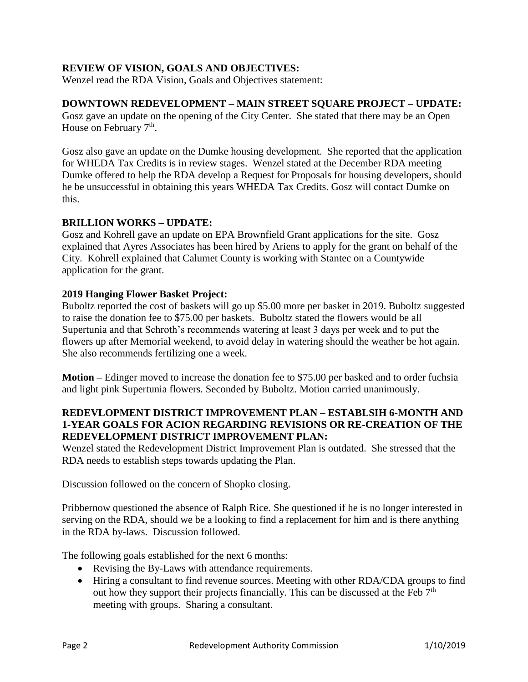## **REVIEW OF VISION, GOALS AND OBJECTIVES:**

Wenzel read the RDA Vision, Goals and Objectives statement:

## **DOWNTOWN REDEVELOPMENT – MAIN STREET SQUARE PROJECT – UPDATE:**

Gosz gave an update on the opening of the City Center. She stated that there may be an Open House on February 7<sup>th</sup>.

Gosz also gave an update on the Dumke housing development. She reported that the application for WHEDA Tax Credits is in review stages. Wenzel stated at the December RDA meeting Dumke offered to help the RDA develop a Request for Proposals for housing developers, should he be unsuccessful in obtaining this years WHEDA Tax Credits. Gosz will contact Dumke on this.

## **BRILLION WORKS – UPDATE:**

Gosz and Kohrell gave an update on EPA Brownfield Grant applications for the site. Gosz explained that Ayres Associates has been hired by Ariens to apply for the grant on behalf of the City. Kohrell explained that Calumet County is working with Stantec on a Countywide application for the grant.

## **2019 Hanging Flower Basket Project:**

Buboltz reported the cost of baskets will go up \$5.00 more per basket in 2019. Buboltz suggested to raise the donation fee to \$75.00 per baskets. Buboltz stated the flowers would be all Supertunia and that Schroth's recommends watering at least 3 days per week and to put the flowers up after Memorial weekend, to avoid delay in watering should the weather be hot again. She also recommends fertilizing one a week.

**Motion –** Edinger moved to increase the donation fee to \$75.00 per basked and to order fuchsia and light pink Supertunia flowers. Seconded by Buboltz. Motion carried unanimously.

## **REDEVLOPMENT DISTRICT IMPROVEMENT PLAN – ESTABLSIH 6-MONTH AND 1-YEAR GOALS FOR ACION REGARDING REVISIONS OR RE-CREATION OF THE REDEVELOPMENT DISTRICT IMPROVEMENT PLAN:**

Wenzel stated the Redevelopment District Improvement Plan is outdated. She stressed that the RDA needs to establish steps towards updating the Plan.

Discussion followed on the concern of Shopko closing.

Pribbernow questioned the absence of Ralph Rice. She questioned if he is no longer interested in serving on the RDA, should we be a looking to find a replacement for him and is there anything in the RDA by-laws. Discussion followed.

The following goals established for the next 6 months:

- Revising the By-Laws with attendance requirements.
- Hiring a consultant to find revenue sources. Meeting with other RDA/CDA groups to find out how they support their projects financially. This can be discussed at the Feb 7<sup>th</sup> meeting with groups. Sharing a consultant.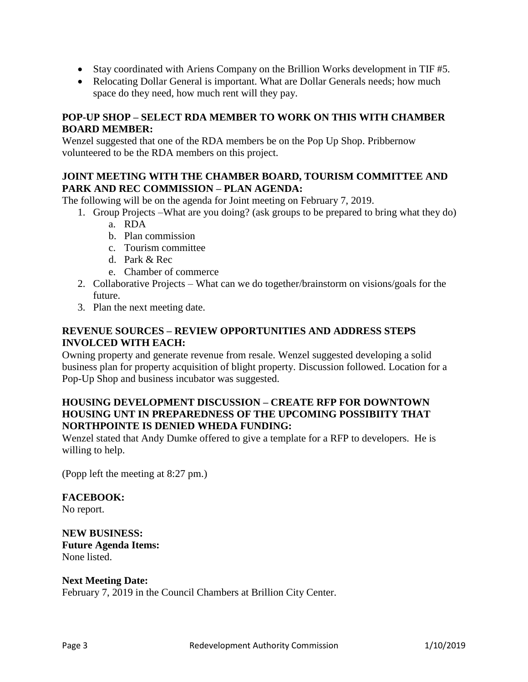- Stay coordinated with Ariens Company on the Brillion Works development in TIF #5.
- Relocating Dollar General is important. What are Dollar Generals needs; how much space do they need, how much rent will they pay.

## **POP-UP SHOP – SELECT RDA MEMBER TO WORK ON THIS WITH CHAMBER BOARD MEMBER:**

Wenzel suggested that one of the RDA members be on the Pop Up Shop. Pribbernow volunteered to be the RDA members on this project.

## **JOINT MEETING WITH THE CHAMBER BOARD, TOURISM COMMITTEE AND PARK AND REC COMMISSION – PLAN AGENDA:**

The following will be on the agenda for Joint meeting on February 7, 2019.

- 1. Group Projects –What are you doing? (ask groups to be prepared to bring what they do)
	- a. RDA
		- b. Plan commission
		- c. Tourism committee
		- d. Park & Rec
		- e. Chamber of commerce
- 2. Collaborative Projects What can we do together/brainstorm on visions/goals for the future.
- 3. Plan the next meeting date.

## **REVENUE SOURCES – REVIEW OPPORTUNITIES AND ADDRESS STEPS INVOLCED WITH EACH:**

Owning property and generate revenue from resale. Wenzel suggested developing a solid business plan for property acquisition of blight property. Discussion followed. Location for a Pop-Up Shop and business incubator was suggested.

## **HOUSING DEVELOPMENT DISCUSSION – CREATE RFP FOR DOWNTOWN HOUSING UNT IN PREPAREDNESS OF THE UPCOMING POSSIBIITY THAT NORTHPOINTE IS DENIED WHEDA FUNDING:**

Wenzel stated that Andy Dumke offered to give a template for a RFP to developers. He is willing to help.

(Popp left the meeting at 8:27 pm.)

# **FACEBOOK:**

No report.

**NEW BUSINESS: Future Agenda Items:** None listed.

## **Next Meeting Date:**

February 7, 2019 in the Council Chambers at Brillion City Center.